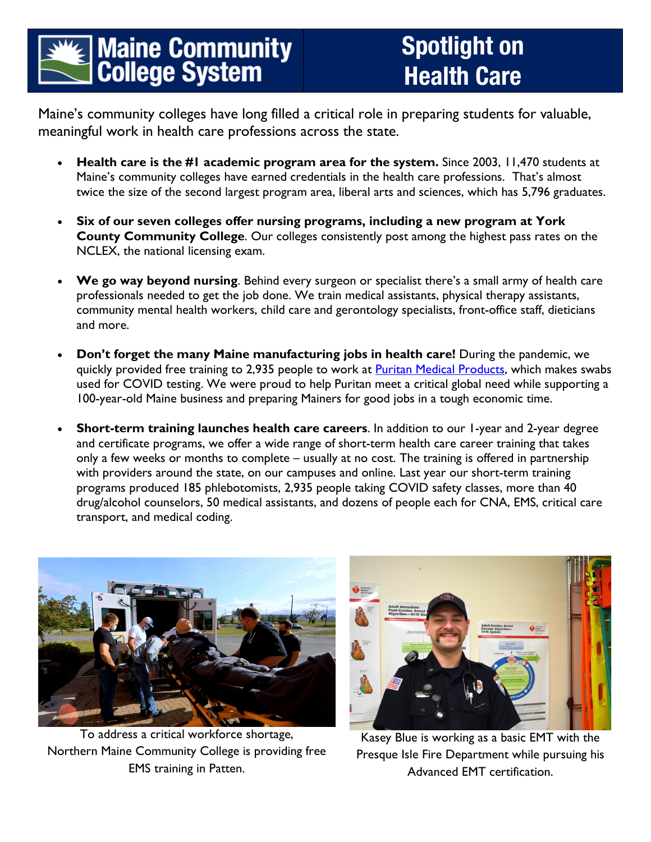## **Maine Community<br>College System**

## Spotlight on Health Care

Maine's community colleges have long filled a critical role in preparing students for valuable, meaningful work in health care professions across the state.

- **Health care is the #1 academic program area for the system.** Since 2003, 11,470 students at Maine's community colleges have earned credentials in the health care professions. That's almost twice the size of the second largest program area, liberal arts and sciences, which has 5,796 graduates.
- **Six of our seven colleges offer nursing programs, including a new program at York County Community College**. Our colleges consistently post among the highest pass rates on the NCLEX, the national licensing exam.
- **We go way beyond nursing**. Behind every surgeon or specialist there's a small army of health care professionals needed to get the job done. We train medical assistants, physical therapy assistants, community mental health workers, child care and gerontology specialists, front-office staff, dieticians and more.
- **Don't forget the many Maine manufacturing jobs in health care!** During the pandemic, we quickly provided free training to 2,935 people to work at **Puritan Medical Products**, which makes swabs used for COVID testing. We were proud to help Puritan meet a critical global need while supporting a 100-year-old Maine business and preparing Mainers for good jobs in a tough economic time.
- **Short-term training launches health care careers**. In addition to our 1-year and 2-year degree and certificate programs, we offer a wide range of short-term health care career training that takes only a few weeks or months to complete – usually at no cost. The training is offered in partnership with providers around the state, on our campuses and online. Last year our short-term training programs produced 185 phlebotomists, 2,935 people taking COVID safety classes, more than 40 drug/alcohol counselors, 50 medical assistants, and dozens of people each for CNA, EMS, critical care transport, and medical coding.



To address a critical workforce shortage, Northern Maine Community College is providing free EMS training in Patten.



Kasey Blue is working as a basic EMT with the Presque Isle Fire Department while pursuing his Advanced EMT certification.